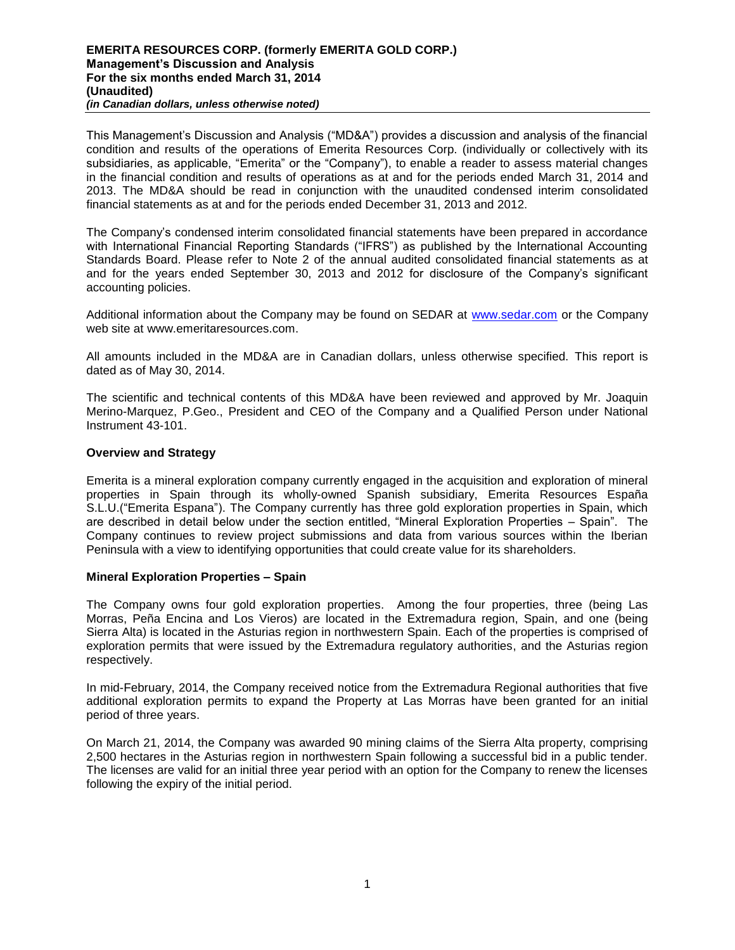This Management's Discussion and Analysis ("MD&A") provides a discussion and analysis of the financial condition and results of the operations of Emerita Resources Corp. (individually or collectively with its subsidiaries, as applicable, "Emerita" or the "Company"), to enable a reader to assess material changes in the financial condition and results of operations as at and for the periods ended March 31, 2014 and 2013. The MD&A should be read in conjunction with the unaudited condensed interim consolidated financial statements as at and for the periods ended December 31, 2013 and 2012.

The Company's condensed interim consolidated financial statements have been prepared in accordance with International Financial Reporting Standards ("IFRS") as published by the International Accounting Standards Board. Please refer to Note 2 of the annual audited consolidated financial statements as at and for the years ended September 30, 2013 and 2012 for disclosure of the Company's significant accounting policies.

Additional information about the Company may be found on SEDAR at [www.sedar.com](http://www.sedar.com/) or the Company web site at www.emeritaresources.com.

All amounts included in the MD&A are in Canadian dollars, unless otherwise specified. This report is dated as of May 30, 2014.

The scientific and technical contents of this MD&A have been reviewed and approved by Mr. Joaquin Merino-Marquez, P.Geo., President and CEO of the Company and a Qualified Person under National Instrument 43-101.

## **Overview and Strategy**

Emerita is a mineral exploration company currently engaged in the acquisition and exploration of mineral properties in Spain through its wholly-owned Spanish subsidiary, Emerita Resources España S.L.U.("Emerita Espana"). The Company currently has three gold exploration properties in Spain, which are described in detail below under the section entitled, "Mineral Exploration Properties – Spain". The Company continues to review project submissions and data from various sources within the Iberian Peninsula with a view to identifying opportunities that could create value for its shareholders.

## **Mineral Exploration Properties – Spain**

The Company owns four gold exploration properties. Among the four properties, three (being Las Morras, Peña Encina and Los Vieros) are located in the Extremadura region, Spain, and one (being Sierra Alta) is located in the Asturias region in northwestern Spain. Each of the properties is comprised of exploration permits that were issued by the Extremadura regulatory authorities, and the Asturias region respectively.

In mid-February, 2014, the Company received notice from the Extremadura Regional authorities that five additional exploration permits to expand the Property at Las Morras have been granted for an initial period of three years.

On March 21, 2014, the Company was awarded 90 mining claims of the Sierra Alta property, comprising 2,500 hectares in the Asturias region in northwestern Spain following a successful bid in a public tender. The licenses are valid for an initial three year period with an option for the Company to renew the licenses following the expiry of the initial period.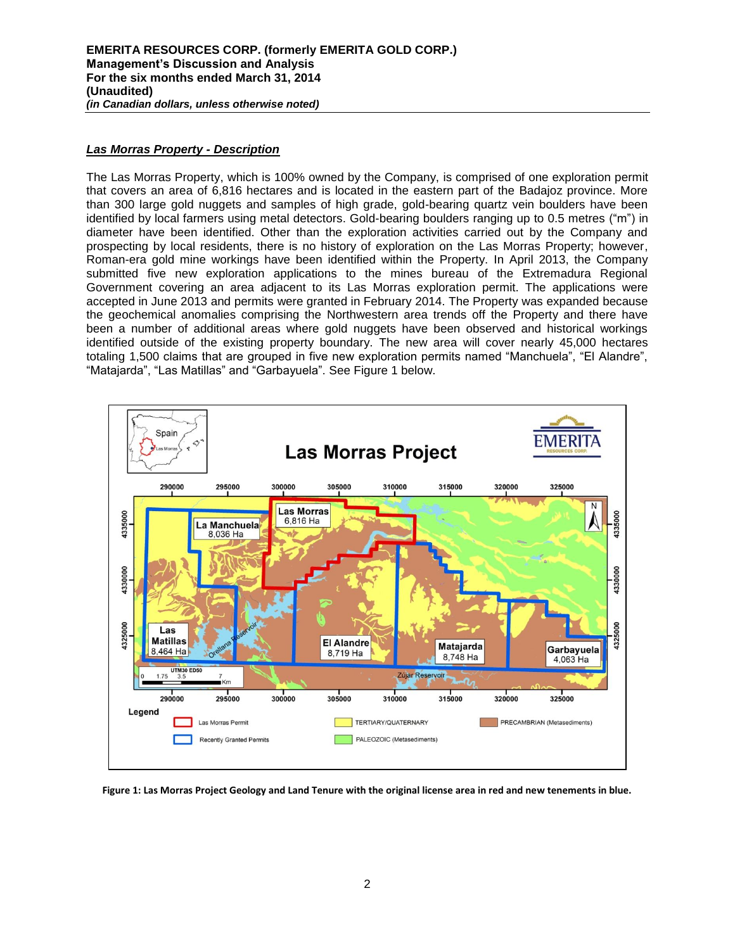### *Las Morras Property - Description*

The Las Morras Property, which is 100% owned by the Company, is comprised of one exploration permit that covers an area of 6,816 hectares and is located in the eastern part of the Badajoz province. More than 300 large gold nuggets and samples of high grade, gold-bearing quartz vein boulders have been identified by local farmers using metal detectors. Gold-bearing boulders ranging up to 0.5 metres ("m") in diameter have been identified. Other than the exploration activities carried out by the Company and prospecting by local residents, there is no history of exploration on the Las Morras Property; however, Roman-era gold mine workings have been identified within the Property. In April 2013, the Company submitted five new exploration applications to the mines bureau of the Extremadura Regional Government covering an area adjacent to its Las Morras exploration permit. The applications were accepted in June 2013 and permits were granted in February 2014. The Property was expanded because the geochemical anomalies comprising the Northwestern area trends off the Property and there have been a number of additional areas where gold nuggets have been observed and historical workings identified outside of the existing property boundary. The new area will cover nearly 45,000 hectares totaling 1,500 claims that are grouped in five new exploration permits named "Manchuela", "El Alandre", "Matajarda", "Las Matillas" and "Garbayuela". See Figure 1 below.



**Figure 1: Las Morras Project Geology and Land Tenure with the original license area in red and new tenements in blue.**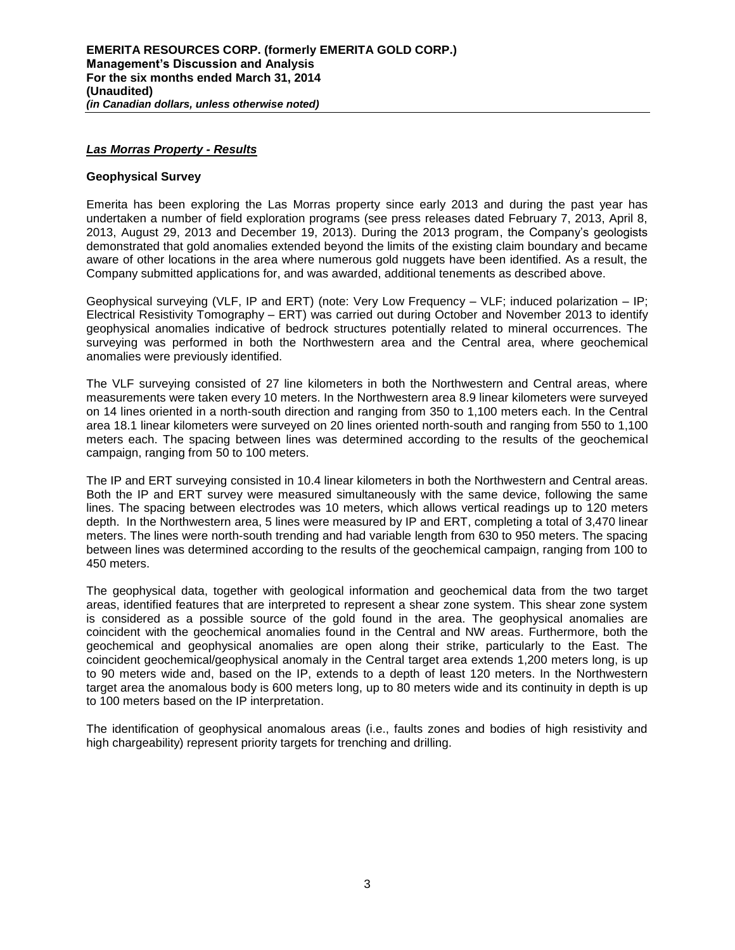### *Las Morras Property - Results*

### **Geophysical Survey**

Emerita has been exploring the Las Morras property since early 2013 and during the past year has undertaken a number of field exploration programs (see press releases dated February 7, 2013, April 8, 2013, August 29, 2013 and December 19, 2013). During the 2013 program, the Company's geologists demonstrated that gold anomalies extended beyond the limits of the existing claim boundary and became aware of other locations in the area where numerous gold nuggets have been identified. As a result, the Company submitted applications for, and was awarded, additional tenements as described above.

Geophysical surveying (VLF, IP and ERT) (note: Very Low Frequency – VLF; induced polarization – IP; Electrical Resistivity Tomography – ERT) was carried out during October and November 2013 to identify geophysical anomalies indicative of bedrock structures potentially related to mineral occurrences. The surveying was performed in both the Northwestern area and the Central area, where geochemical anomalies were previously identified.

The VLF surveying consisted of 27 line kilometers in both the Northwestern and Central areas, where measurements were taken every 10 meters. In the Northwestern area 8.9 linear kilometers were surveyed on 14 lines oriented in a north-south direction and ranging from 350 to 1,100 meters each. In the Central area 18.1 linear kilometers were surveyed on 20 lines oriented north-south and ranging from 550 to 1,100 meters each. The spacing between lines was determined according to the results of the geochemical campaign, ranging from 50 to 100 meters.

The IP and ERT surveying consisted in 10.4 linear kilometers in both the Northwestern and Central areas. Both the IP and ERT survey were measured simultaneously with the same device, following the same lines. The spacing between electrodes was 10 meters, which allows vertical readings up to 120 meters depth. In the Northwestern area, 5 lines were measured by IP and ERT, completing a total of 3,470 linear meters. The lines were north-south trending and had variable length from 630 to 950 meters. The spacing between lines was determined according to the results of the geochemical campaign, ranging from 100 to 450 meters.

The geophysical data, together with geological information and geochemical data from the two target areas, identified features that are interpreted to represent a shear zone system. This shear zone system is considered as a possible source of the gold found in the area. The geophysical anomalies are coincident with the geochemical anomalies found in the Central and NW areas. Furthermore, both the geochemical and geophysical anomalies are open along their strike, particularly to the East. The coincident geochemical/geophysical anomaly in the Central target area extends 1,200 meters long, is up to 90 meters wide and, based on the IP, extends to a depth of least 120 meters. In the Northwestern target area the anomalous body is 600 meters long, up to 80 meters wide and its continuity in depth is up to 100 meters based on the IP interpretation.

The identification of geophysical anomalous areas (i.e., faults zones and bodies of high resistivity and high chargeability) represent priority targets for trenching and drilling.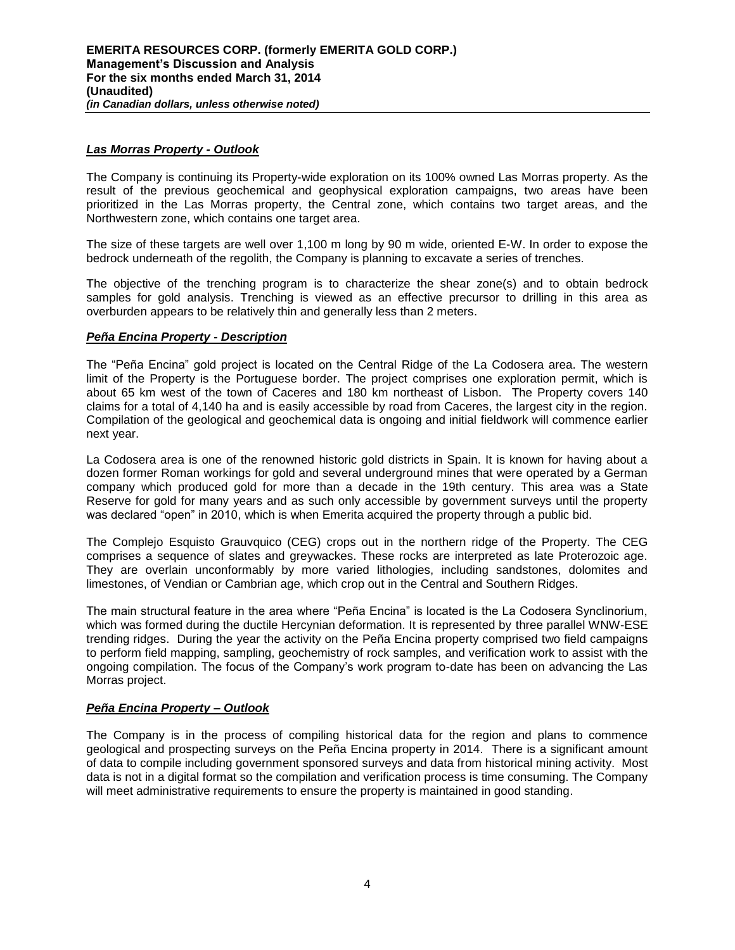### *Las Morras Property - Outlook*

The Company is continuing its Property-wide exploration on its 100% owned Las Morras property. As the result of the previous geochemical and geophysical exploration campaigns, two areas have been prioritized in the Las Morras property, the Central zone, which contains two target areas, and the Northwestern zone, which contains one target area.

The size of these targets are well over 1,100 m long by 90 m wide, oriented E-W. In order to expose the bedrock underneath of the regolith, the Company is planning to excavate a series of trenches.

The objective of the trenching program is to characterize the shear zone(s) and to obtain bedrock samples for gold analysis. Trenching is viewed as an effective precursor to drilling in this area as overburden appears to be relatively thin and generally less than 2 meters.

### *Peña Encina Property - Description*

The "Peña Encina" gold project is located on the Central Ridge of the La Codosera area. The western limit of the Property is the Portuguese border. The project comprises one exploration permit, which is about 65 km west of the town of Caceres and 180 km northeast of Lisbon. The Property covers 140 claims for a total of 4,140 ha and is easily accessible by road from Caceres, the largest city in the region. Compilation of the geological and geochemical data is ongoing and initial fieldwork will commence earlier next year.

La Codosera area is one of the renowned historic gold districts in Spain. It is known for having about a dozen former Roman workings for gold and several underground mines that were operated by a German company which produced gold for more than a decade in the 19th century. This area was a State Reserve for gold for many years and as such only accessible by government surveys until the property was declared "open" in 2010, which is when Emerita acquired the property through a public bid.

The Complejo Esquisto Grauvquico (CEG) crops out in the northern ridge of the Property. The CEG comprises a sequence of slates and greywackes. These rocks are interpreted as late Proterozoic age. They are overlain unconformably by more varied lithologies, including sandstones, dolomites and limestones, of Vendian or Cambrian age, which crop out in the Central and Southern Ridges.

The main structural feature in the area where "Peña Encina" is located is the La Codosera Synclinorium, which was formed during the ductile Hercynian deformation. It is represented by three parallel WNW-ESE trending ridges. During the year the activity on the Peña Encina property comprised two field campaigns to perform field mapping, sampling, geochemistry of rock samples, and verification work to assist with the ongoing compilation. The focus of the Company's work program to-date has been on advancing the Las Morras project.

## *Peña Encina Property – Outlook*

The Company is in the process of compiling historical data for the region and plans to commence geological and prospecting surveys on the Peña Encina property in 2014. There is a significant amount of data to compile including government sponsored surveys and data from historical mining activity. Most data is not in a digital format so the compilation and verification process is time consuming. The Company will meet administrative requirements to ensure the property is maintained in good standing.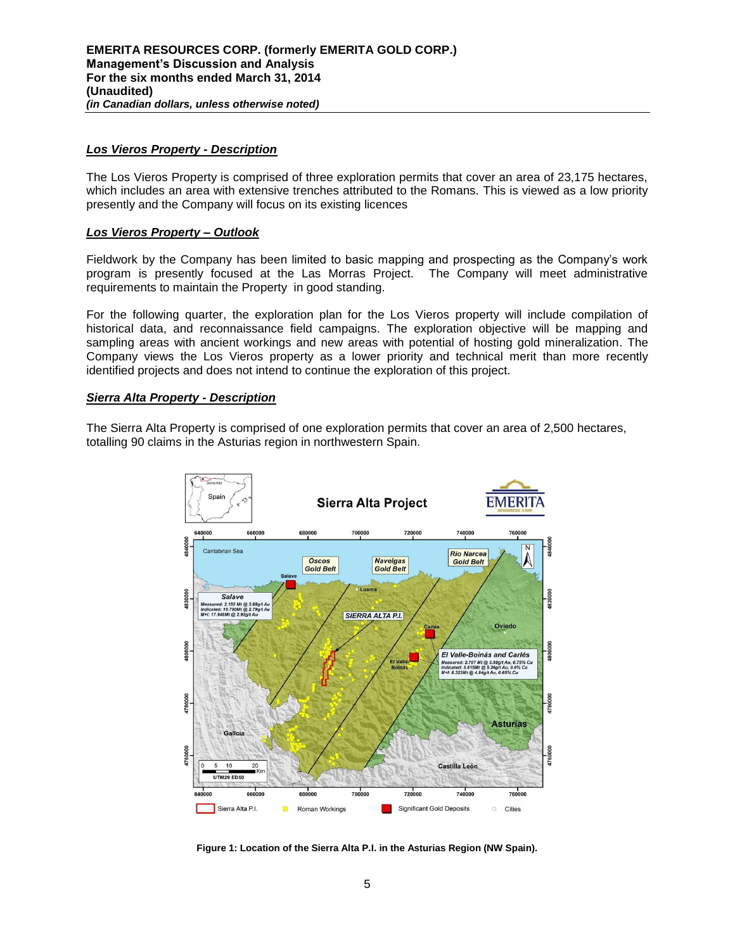### *Los Vieros Property - Description*

The Los Vieros Property is comprised of three exploration permits that cover an area of 23,175 hectares, which includes an area with extensive trenches attributed to the Romans. This is viewed as a low priority presently and the Company will focus on its existing licences

### *Los Vieros Property – Outlook*

Fieldwork by the Company has been limited to basic mapping and prospecting as the Company's work program is presently focused at the Las Morras Project. The Company will meet administrative requirements to maintain the Property in good standing.

For the following quarter, the exploration plan for the Los Vieros property will include compilation of historical data, and reconnaissance field campaigns. The exploration objective will be mapping and sampling areas with ancient workings and new areas with potential of hosting gold mineralization. The Company views the Los Vieros property as a lower priority and technical merit than more recently identified projects and does not intend to continue the exploration of this project.

### *Sierra Alta Property - Description*

The Sierra Alta Property is comprised of one exploration permits that cover an area of 2,500 hectares, totalling 90 claims in the Asturias region in northwestern Spain.



**Figure 1: Location of the Sierra Alta P.I. in the Asturias Region (NW Spain).**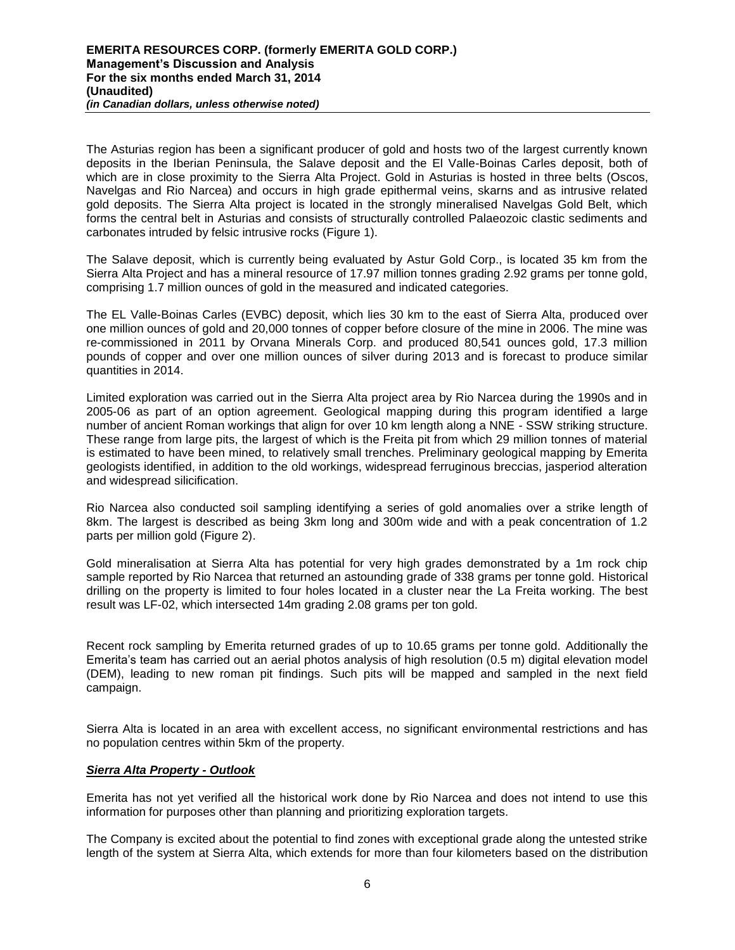The Asturias region has been a significant producer of gold and hosts two of the largest currently known deposits in the Iberian Peninsula, the Salave deposit and the El Valle-Boinas Carles deposit, both of which are in close proximity to the Sierra Alta Project. Gold in Asturias is hosted in three belts (Oscos, Navelgas and Rio Narcea) and occurs in high grade epithermal veins, skarns and as intrusive related gold deposits. The Sierra Alta project is located in the strongly mineralised Navelgas Gold Belt, which forms the central belt in Asturias and consists of structurally controlled Palaeozoic clastic sediments and carbonates intruded by felsic intrusive rocks (Figure 1).

The Salave deposit, which is currently being evaluated by Astur Gold Corp., is located 35 km from the Sierra Alta Project and has a mineral resource of 17.97 million tonnes grading 2.92 grams per tonne gold, comprising 1.7 million ounces of gold in the measured and indicated categories.

The EL Valle-Boinas Carles (EVBC) deposit, which lies 30 km to the east of Sierra Alta, produced over one million ounces of gold and 20,000 tonnes of copper before closure of the mine in 2006. The mine was re-commissioned in 2011 by Orvana Minerals Corp. and produced 80,541 ounces gold, 17.3 million pounds of copper and over one million ounces of silver during 2013 and is forecast to produce similar quantities in 2014.

Limited exploration was carried out in the Sierra Alta project area by Rio Narcea during the 1990s and in 2005-06 as part of an option agreement. Geological mapping during this program identified a large number of ancient Roman workings that align for over 10 km length along a NNE - SSW striking structure. These range from large pits, the largest of which is the Freita pit from which 29 million tonnes of material is estimated to have been mined, to relatively small trenches. Preliminary geological mapping by Emerita geologists identified, in addition to the old workings, widespread ferruginous breccias, jasperiod alteration and widespread silicification.

Rio Narcea also conducted soil sampling identifying a series of gold anomalies over a strike length of 8km. The largest is described as being 3km long and 300m wide and with a peak concentration of 1.2 parts per million gold (Figure 2).

Gold mineralisation at Sierra Alta has potential for very high grades demonstrated by a 1m rock chip sample reported by Rio Narcea that returned an astounding grade of 338 grams per tonne gold. Historical drilling on the property is limited to four holes located in a cluster near the La Freita working. The best result was LF-02, which intersected 14m grading 2.08 grams per ton gold.

Recent rock sampling by Emerita returned grades of up to 10.65 grams per tonne gold. Additionally the Emerita's team has carried out an aerial photos analysis of high resolution (0.5 m) digital elevation model (DEM), leading to new roman pit findings. Such pits will be mapped and sampled in the next field campaign.

Sierra Alta is located in an area with excellent access, no significant environmental restrictions and has no population centres within 5km of the property.

## *Sierra Alta Property - Outlook*

Emerita has not yet verified all the historical work done by Rio Narcea and does not intend to use this information for purposes other than planning and prioritizing exploration targets.

The Company is excited about the potential to find zones with exceptional grade along the untested strike length of the system at Sierra Alta, which extends for more than four kilometers based on the distribution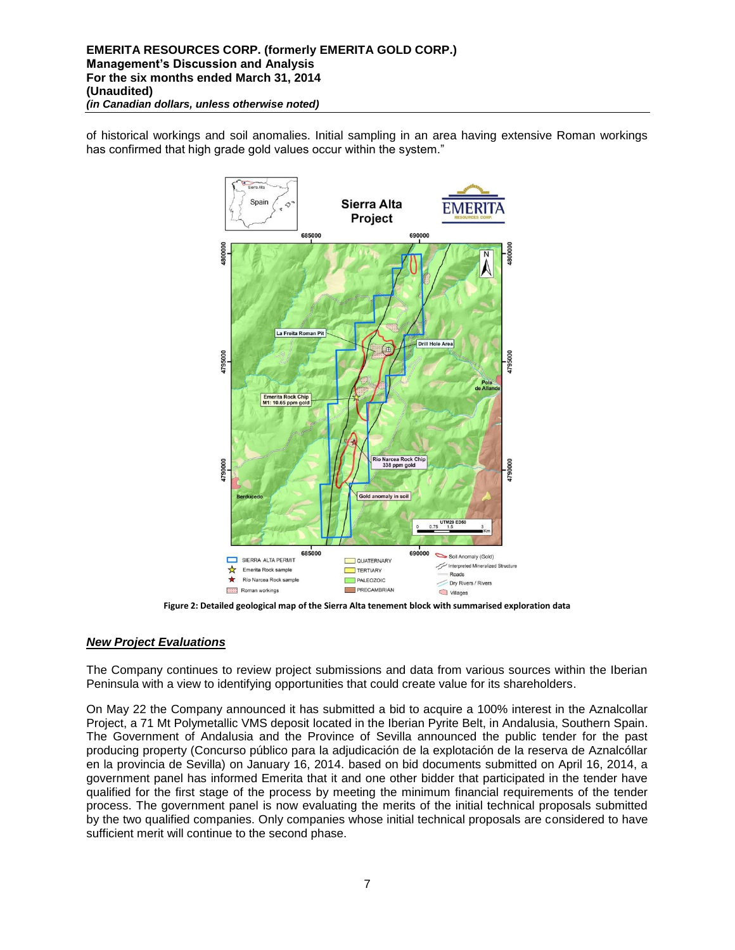of historical workings and soil anomalies. Initial sampling in an area having extensive Roman workings has confirmed that high grade gold values occur within the system."



**Figure 2: Detailed geological map of the Sierra Alta tenement block with summarised exploration data** 

## *New Project Evaluations*

The Company continues to review project submissions and data from various sources within the Iberian Peninsula with a view to identifying opportunities that could create value for its shareholders.

On May 22 the Company announced it has submitted a bid to acquire a 100% interest in the Aznalcollar Project, a 71 Mt Polymetallic VMS deposit located in the Iberian Pyrite Belt, in Andalusia, Southern Spain. The Government of Andalusia and the Province of Sevilla announced the public tender for the past producing property (Concurso público para la adjudicación de la explotación de la reserva de Aznalcóllar en la provincia de Sevilla) on January 16, 2014. based on bid documents submitted on April 16, 2014, a government panel has informed Emerita that it and one other bidder that participated in the tender have qualified for the first stage of the process by meeting the minimum financial requirements of the tender process. The government panel is now evaluating the merits of the initial technical proposals submitted by the two qualified companies. Only companies whose initial technical proposals are considered to have sufficient merit will continue to the second phase.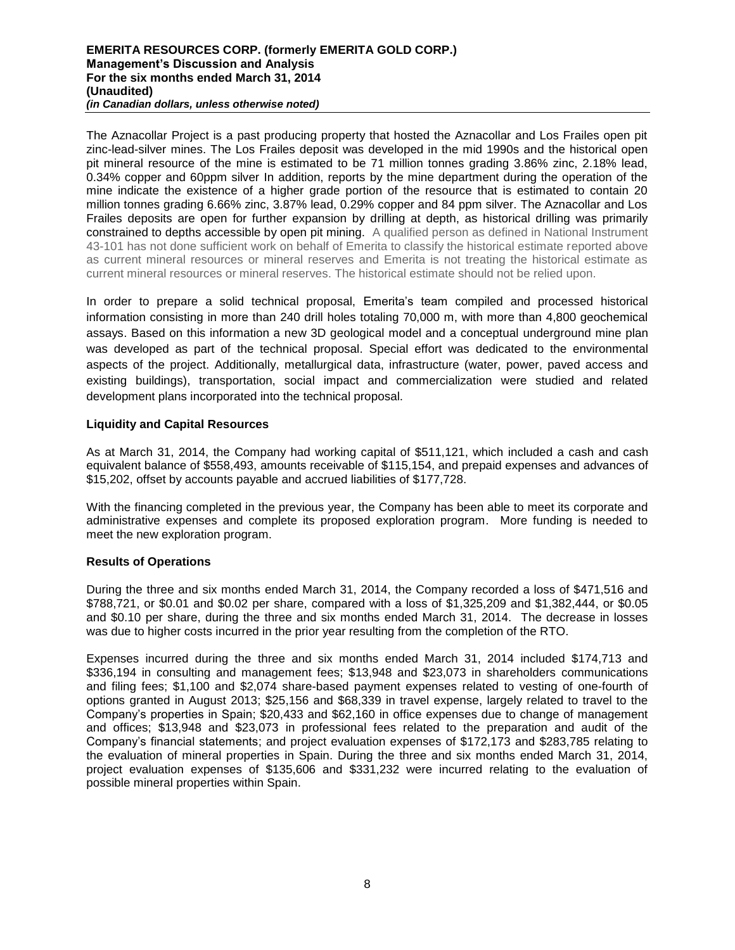#### **EMERITA RESOURCES CORP. (formerly EMERITA GOLD CORP.) Management's Discussion and Analysis For the six months ended March 31, 2014 (Unaudited)** *(in Canadian dollars, unless otherwise noted)*

The Aznacollar Project is a past producing property that hosted the Aznacollar and Los Frailes open pit zinc-lead-silver mines. The Los Frailes deposit was developed in the mid 1990s and the historical open pit mineral resource of the mine is estimated to be 71 million tonnes grading 3.86% zinc, 2.18% lead, 0.34% copper and 60ppm silver In addition, reports by the mine department during the operation of the mine indicate the existence of a higher grade portion of the resource that is estimated to contain 20 million tonnes grading 6.66% zinc, 3.87% lead, 0.29% copper and 84 ppm silver. The Aznacollar and Los Frailes deposits are open for further expansion by drilling at depth, as historical drilling was primarily constrained to depths accessible by open pit mining. A qualified person as defined in National Instrument 43-101 has not done sufficient work on behalf of Emerita to classify the historical estimate reported above as current mineral resources or mineral reserves and Emerita is not treating the historical estimate as current mineral resources or mineral reserves. The historical estimate should not be relied upon.

In order to prepare a solid technical proposal, Emerita's team compiled and processed historical information consisting in more than 240 drill holes totaling 70,000 m, with more than 4,800 geochemical assays. Based on this information a new 3D geological model and a conceptual underground mine plan was developed as part of the technical proposal. Special effort was dedicated to the environmental aspects of the project. Additionally, metallurgical data, infrastructure (water, power, paved access and existing buildings), transportation, social impact and commercialization were studied and related development plans incorporated into the technical proposal.

## **Liquidity and Capital Resources**

As at March 31, 2014, the Company had working capital of \$511,121, which included a cash and cash equivalent balance of \$558,493, amounts receivable of \$115,154, and prepaid expenses and advances of \$15,202, offset by accounts payable and accrued liabilities of \$177,728.

With the financing completed in the previous year, the Company has been able to meet its corporate and administrative expenses and complete its proposed exploration program. More funding is needed to meet the new exploration program.

## **Results of Operations**

During the three and six months ended March 31, 2014, the Company recorded a loss of \$471,516 and \$788,721, or \$0.01 and \$0.02 per share, compared with a loss of \$1,325,209 and \$1,382,444, or \$0.05 and \$0.10 per share, during the three and six months ended March 31, 2014. The decrease in losses was due to higher costs incurred in the prior year resulting from the completion of the RTO.

Expenses incurred during the three and six months ended March 31, 2014 included \$174,713 and \$336,194 in consulting and management fees; \$13,948 and \$23,073 in shareholders communications and filing fees; \$1,100 and \$2,074 share-based payment expenses related to vesting of one-fourth of options granted in August 2013; \$25,156 and \$68,339 in travel expense, largely related to travel to the Company's properties in Spain; \$20,433 and \$62,160 in office expenses due to change of management and offices; \$13,948 and \$23,073 in professional fees related to the preparation and audit of the Company's financial statements; and project evaluation expenses of \$172,173 and \$283,785 relating to the evaluation of mineral properties in Spain. During the three and six months ended March 31, 2014, project evaluation expenses of \$135,606 and \$331,232 were incurred relating to the evaluation of possible mineral properties within Spain.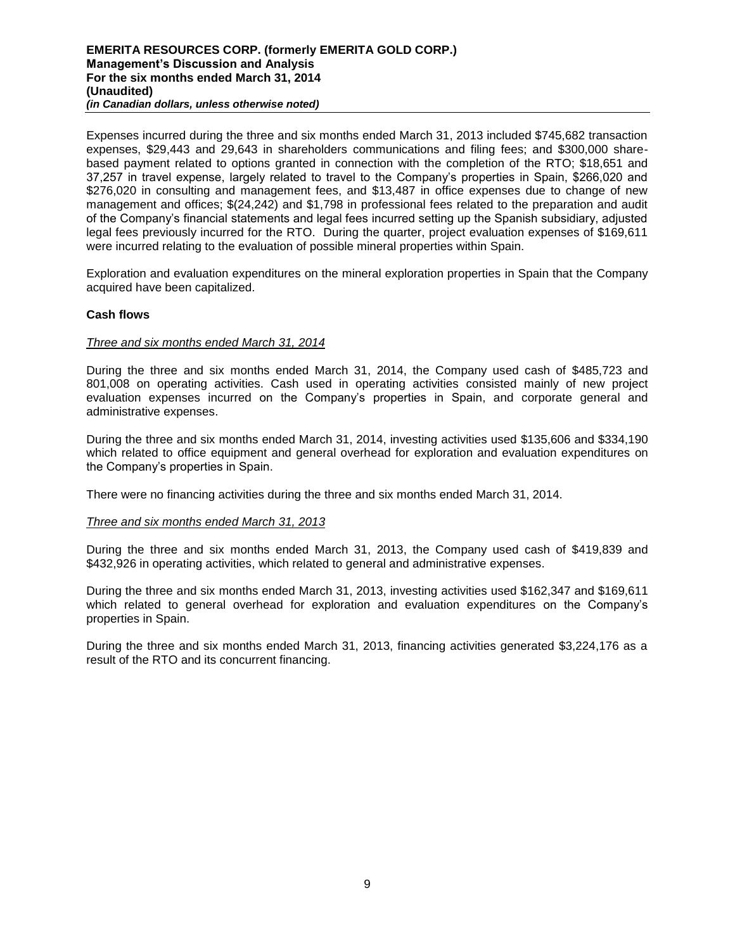Expenses incurred during the three and six months ended March 31, 2013 included \$745,682 transaction expenses, \$29,443 and 29,643 in shareholders communications and filing fees; and \$300,000 sharebased payment related to options granted in connection with the completion of the RTO; \$18,651 and 37,257 in travel expense, largely related to travel to the Company's properties in Spain, \$266,020 and \$276,020 in consulting and management fees, and \$13,487 in office expenses due to change of new management and offices; \$(24,242) and \$1,798 in professional fees related to the preparation and audit of the Company's financial statements and legal fees incurred setting up the Spanish subsidiary, adjusted legal fees previously incurred for the RTO. During the quarter, project evaluation expenses of \$169,611 were incurred relating to the evaluation of possible mineral properties within Spain.

Exploration and evaluation expenditures on the mineral exploration properties in Spain that the Company acquired have been capitalized.

## **Cash flows**

## *Three and six months ended March 31, 2014*

During the three and six months ended March 31, 2014, the Company used cash of \$485,723 and 801,008 on operating activities. Cash used in operating activities consisted mainly of new project evaluation expenses incurred on the Company's properties in Spain, and corporate general and administrative expenses.

During the three and six months ended March 31, 2014, investing activities used \$135,606 and \$334,190 which related to office equipment and general overhead for exploration and evaluation expenditures on the Company's properties in Spain.

There were no financing activities during the three and six months ended March 31, 2014.

## *Three and six months ended March 31, 2013*

During the three and six months ended March 31, 2013, the Company used cash of \$419,839 and \$432,926 in operating activities, which related to general and administrative expenses.

During the three and six months ended March 31, 2013, investing activities used \$162,347 and \$169,611 which related to general overhead for exploration and evaluation expenditures on the Company's properties in Spain.

During the three and six months ended March 31, 2013, financing activities generated \$3,224,176 as a result of the RTO and its concurrent financing.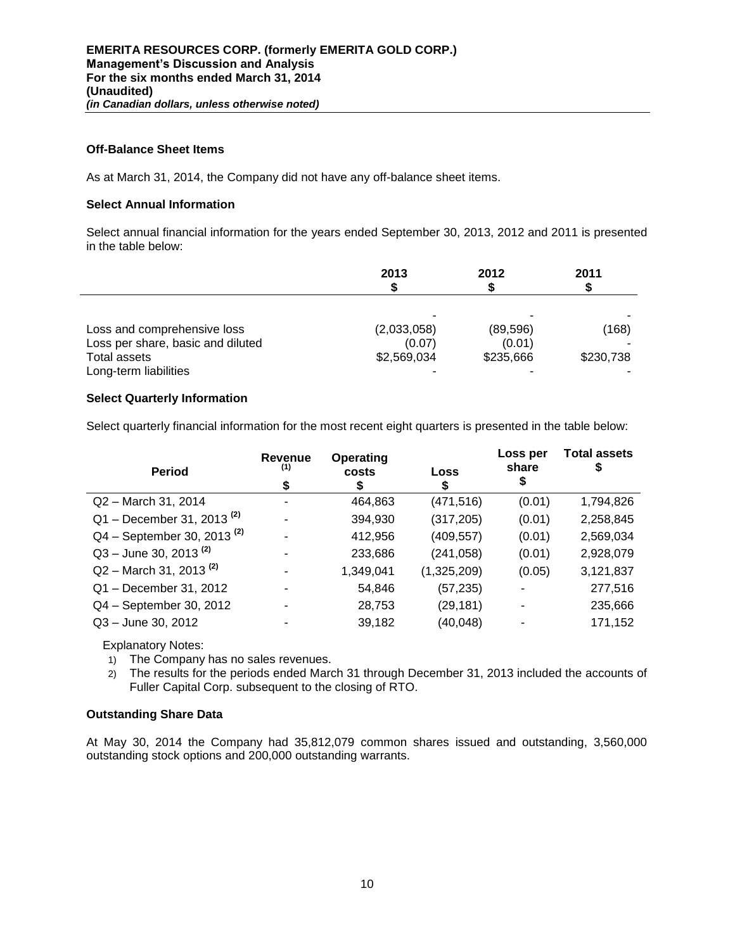## **Off-Balance Sheet Items**

As at March 31, 2014, the Company did not have any off-balance sheet items.

# **Select Annual Information**

Select annual financial information for the years ended September 30, 2013, 2012 and 2011 is presented in the table below:

|                                   | 2013        | 2012      | 2011      |
|-----------------------------------|-------------|-----------|-----------|
|                                   |             |           |           |
| Loss and comprehensive loss       | (2,033,058) | (89, 596) | (168)     |
| Loss per share, basic and diluted | (0.07)      | (0.01)    |           |
| Total assets                      | \$2,569,034 | \$235,666 | \$230,738 |
| Long-term liabilities             |             |           |           |

# **Select Quarterly Information**

Select quarterly financial information for the most recent eight quarters is presented in the table below:

| <b>Revenue</b><br>(1)<br>\$ | Operating<br>costs<br>D | Loss<br>S   | Loss per<br>share<br>⊅ | <b>Total assets</b> |
|-----------------------------|-------------------------|-------------|------------------------|---------------------|
|                             | 464,863                 | (471, 516)  | (0.01)                 | 1,794,826           |
|                             | 394,930                 | (317, 205)  | (0.01)                 | 2,258,845           |
|                             | 412,956                 | (409, 557)  | (0.01)                 | 2,569,034           |
|                             | 233,686                 | (241, 058)  | (0.01)                 | 2,928,079           |
|                             | 1,349,041               | (1,325,209) | (0.05)                 | 3,121,837           |
|                             | 54,846                  | (57, 235)   |                        | 277,516             |
|                             | 28,753                  | (29, 181)   |                        | 235,666             |
|                             | 39,182                  | (40, 048)   |                        | 171,152             |
|                             |                         |             |                        |                     |

Explanatory Notes:

- 1) The Company has no sales revenues.
- 2) The results for the periods ended March 31 through December 31, 2013 included the accounts of Fuller Capital Corp. subsequent to the closing of RTO.

## **Outstanding Share Data**

At May 30, 2014 the Company had 35,812,079 common shares issued and outstanding, 3,560,000 outstanding stock options and 200,000 outstanding warrants.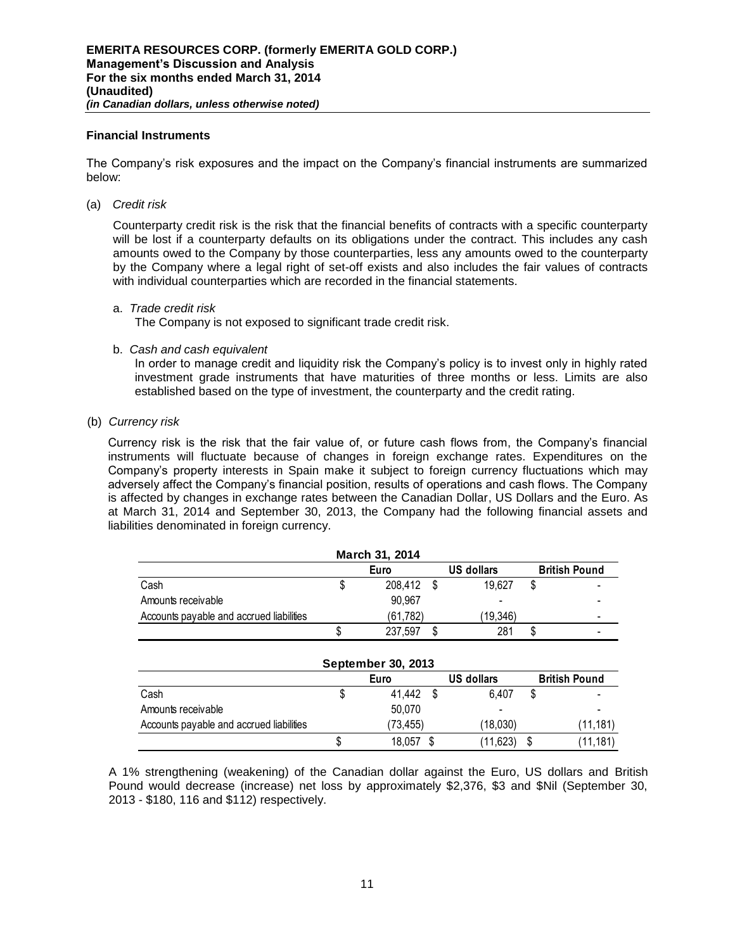### **Financial Instruments**

The Company's risk exposures and the impact on the Company's financial instruments are summarized below:

(a) *Credit risk* 

Counterparty credit risk is the risk that the financial benefits of contracts with a specific counterparty will be lost if a counterparty defaults on its obligations under the contract. This includes any cash amounts owed to the Company by those counterparties, less any amounts owed to the counterparty by the Company where a legal right of set-off exists and also includes the fair values of contracts with individual counterparties which are recorded in the financial statements.

#### a. *Trade credit risk*

The Company is not exposed to significant trade credit risk.

b. *Cash and cash equivalent*

In order to manage credit and liquidity risk the Company's policy is to invest only in highly rated investment grade instruments that have maturities of three months or less. Limits are also established based on the type of investment, the counterparty and the credit rating.

(b) *Currency risk* 

Currency risk is the risk that the fair value of, or future cash flows from, the Company's financial instruments will fluctuate because of changes in foreign exchange rates. Expenditures on the Company's property interests in Spain make it subject to foreign currency fluctuations which may adversely affect the Company's financial position, results of operations and cash flows. The Company is affected by changes in exchange rates between the Canadian Dollar, US Dollars and the Euro. As at March 31, 2014 and September 30, 2013, the Company had the following financial assets and liabilities denominated in foreign currency.

|                                          | March 31, 2014 |                   |                      |
|------------------------------------------|----------------|-------------------|----------------------|
|                                          | Euro           | <b>US dollars</b> | <b>British Pound</b> |
| Cash                                     | 208.412        | 19.627            |                      |
| Amounts receivable                       | 90.967         | -                 |                      |
| Accounts payable and accrued liabilities | (61,782)       | (19.346)          |                      |
|                                          | 237.597        | 281               |                      |

| <b>September 30, 2013</b>                  |   |          |     |          |  |          |  |  |  |
|--------------------------------------------|---|----------|-----|----------|--|----------|--|--|--|
| US dollars<br><b>British Pound</b><br>Euro |   |          |     |          |  |          |  |  |  |
| Cash                                       |   | 41.442   | \$. | 6.407    |  |          |  |  |  |
| Amounts receivable                         |   | 50.070   |     |          |  |          |  |  |  |
| Accounts payable and accrued liabilities   |   | (73,455) |     | (18,030) |  | (11,181) |  |  |  |
|                                            | J | 18.057   |     | (11,623) |  | (11,181) |  |  |  |

A 1% strengthening (weakening) of the Canadian dollar against the Euro, US dollars and British Pound would decrease (increase) net loss by approximately \$2,376, \$3 and \$Nil (September 30, 2013 - \$180, 116 and \$112) respectively.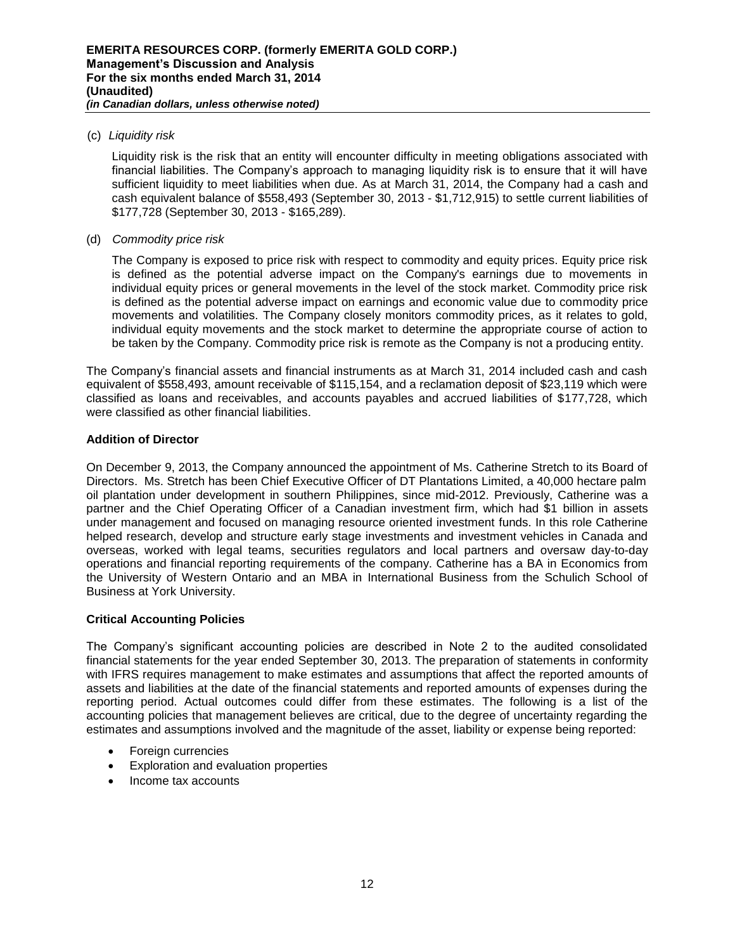## (c) *Liquidity risk*

Liquidity risk is the risk that an entity will encounter difficulty in meeting obligations associated with financial liabilities. The Company's approach to managing liquidity risk is to ensure that it will have sufficient liquidity to meet liabilities when due. As at March 31, 2014, the Company had a cash and cash equivalent balance of \$558,493 (September 30, 2013 - \$1,712,915) to settle current liabilities of \$177,728 (September 30, 2013 - \$165,289).

## (d) *Commodity price risk*

The Company is exposed to price risk with respect to commodity and equity prices. Equity price risk is defined as the potential adverse impact on the Company's earnings due to movements in individual equity prices or general movements in the level of the stock market. Commodity price risk is defined as the potential adverse impact on earnings and economic value due to commodity price movements and volatilities. The Company closely monitors commodity prices, as it relates to gold, individual equity movements and the stock market to determine the appropriate course of action to be taken by the Company. Commodity price risk is remote as the Company is not a producing entity.

The Company's financial assets and financial instruments as at March 31, 2014 included cash and cash equivalent of \$558,493, amount receivable of \$115,154, and a reclamation deposit of \$23,119 which were classified as loans and receivables, and accounts payables and accrued liabilities of \$177,728, which were classified as other financial liabilities.

# **Addition of Director**

On December 9, 2013, the Company announced the appointment of Ms. Catherine Stretch to its Board of Directors. Ms. Stretch has been Chief Executive Officer of DT Plantations Limited, a 40,000 hectare palm oil plantation under development in southern Philippines, since mid-2012. Previously, Catherine was a partner and the Chief Operating Officer of a Canadian investment firm, which had \$1 billion in assets under management and focused on managing resource oriented investment funds. In this role Catherine helped research, develop and structure early stage investments and investment vehicles in Canada and overseas, worked with legal teams, securities regulators and local partners and oversaw day-to-day operations and financial reporting requirements of the company. Catherine has a BA in Economics from the University of Western Ontario and an MBA in International Business from the Schulich School of Business at York University.

## **Critical Accounting Policies**

The Company's significant accounting policies are described in Note 2 to the audited consolidated financial statements for the year ended September 30, 2013. The preparation of statements in conformity with IFRS requires management to make estimates and assumptions that affect the reported amounts of assets and liabilities at the date of the financial statements and reported amounts of expenses during the reporting period. Actual outcomes could differ from these estimates. The following is a list of the accounting policies that management believes are critical, due to the degree of uncertainty regarding the estimates and assumptions involved and the magnitude of the asset, liability or expense being reported:

- Foreign currencies
- Exploration and evaluation properties
- Income tax accounts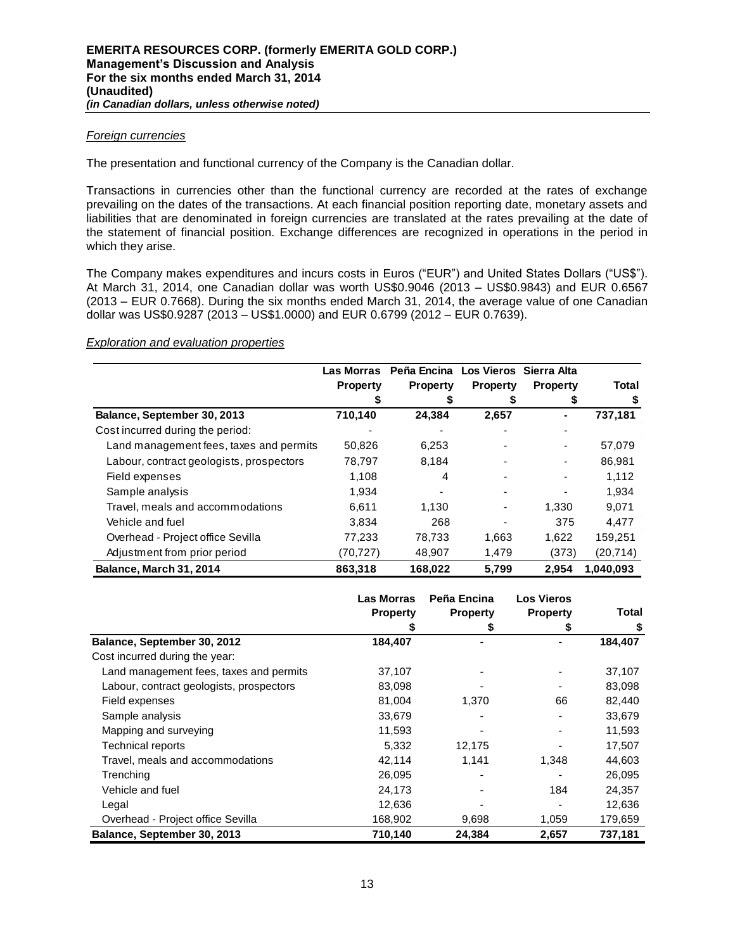## *Foreign currencies*

The presentation and functional currency of the Company is the Canadian dollar.

Transactions in currencies other than the functional currency are recorded at the rates of exchange prevailing on the dates of the transactions. At each financial position reporting date, monetary assets and liabilities that are denominated in foreign currencies are translated at the rates prevailing at the date of the statement of financial position. Exchange differences are recognized in operations in the period in which they arise.

The Company makes expenditures and incurs costs in Euros ("EUR") and United States Dollars ("US\$"). At March 31, 2014, one Canadian dollar was worth US\$0.9046 (2013 – US\$0.9843) and EUR 0.6567 (2013 – EUR 0.7668). During the six months ended March 31, 2014, the average value of one Canadian dollar was US\$0.9287 (2013 – US\$1.0000) and EUR 0.6799 (2012 – EUR 0.7639).

### *Exploration and evaluation properties*

|                                          | Las Morras      | Peña Encina     |                 | Los Vieros Sierra Alta   |           |
|------------------------------------------|-----------------|-----------------|-----------------|--------------------------|-----------|
|                                          | <b>Property</b> | <b>Property</b> | <b>Property</b> | <b>Property</b>          | Total     |
|                                          |                 |                 |                 |                          | \$        |
| Balance, September 30, 2013              | 710,140         | 24,384          | 2,657           | ۰                        | 737,181   |
| Cost incurred during the period:         |                 |                 |                 |                          |           |
| Land management fees, taxes and permits  | 50,826          | 6,253           |                 | ٠                        | 57,079    |
| Labour, contract geologists, prospectors | 78,797          | 8,184           |                 | $\overline{\phantom{a}}$ | 86.981    |
| Field expenses                           | 1,108           | 4               |                 | ٠                        | 1,112     |
| Sample analysis                          | 1,934           |                 |                 |                          | 1,934     |
| Travel, meals and accommodations         | 6.611           | 1.130           | ٠               | 1.330                    | 9,071     |
| Vehicle and fuel                         | 3,834           | 268             |                 | 375                      | 4.477     |
| Overhead - Project office Sevilla        | 77,233          | 78,733          | 1,663           | 1,622                    | 159,251   |
| Adjustment from prior period             | (70, 727)       | 48,907          | 1,479           | (373)                    | (20, 714) |
| Balance, March 31, 2014                  | 863,318         | 168,022         | 5,799           | 2.954                    | 1,040,093 |

|                                          | <b>Las Morras</b><br><b>Property</b> | Peña Encina<br><b>Property</b> | <b>Los Vieros</b><br><b>Property</b> | Total   |
|------------------------------------------|--------------------------------------|--------------------------------|--------------------------------------|---------|
|                                          |                                      | S                              | S                                    | \$      |
| Balance, September 30, 2012              | 184,407                              |                                |                                      | 184,407 |
| Cost incurred during the year:           |                                      |                                |                                      |         |
| Land management fees, taxes and permits  | 37,107                               |                                |                                      | 37,107  |
| Labour, contract geologists, prospectors | 83,098                               |                                |                                      | 83,098  |
| Field expenses                           | 81,004                               | 1,370                          | 66                                   | 82,440  |
| Sample analysis                          | 33,679                               |                                |                                      | 33,679  |
| Mapping and surveying                    | 11,593                               |                                |                                      | 11,593  |
| <b>Technical reports</b>                 | 5,332                                | 12,175                         |                                      | 17,507  |
| Travel, meals and accommodations         | 42,114                               | 1,141                          | 1,348                                | 44,603  |
| Trenching                                | 26,095                               |                                |                                      | 26,095  |
| Vehicle and fuel                         | 24,173                               |                                | 184                                  | 24,357  |
| Legal                                    | 12,636                               |                                |                                      | 12,636  |
| Overhead - Project office Sevilla        | 168,902                              | 9,698                          | 1,059                                | 179,659 |
| Balance, September 30, 2013              | 710,140                              | 24,384                         | 2,657                                | 737.181 |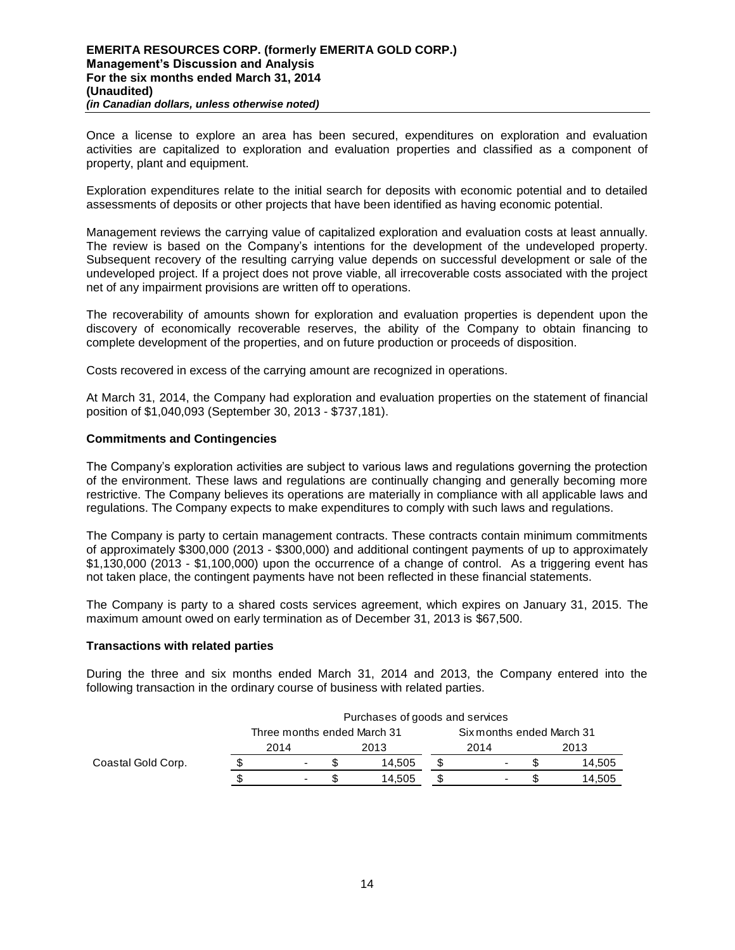Once a license to explore an area has been secured, expenditures on exploration and evaluation activities are capitalized to exploration and evaluation properties and classified as a component of property, plant and equipment.

Exploration expenditures relate to the initial search for deposits with economic potential and to detailed assessments of deposits or other projects that have been identified as having economic potential.

Management reviews the carrying value of capitalized exploration and evaluation costs at least annually. The review is based on the Company's intentions for the development of the undeveloped property. Subsequent recovery of the resulting carrying value depends on successful development or sale of the undeveloped project. If a project does not prove viable, all irrecoverable costs associated with the project net of any impairment provisions are written off to operations.

The recoverability of amounts shown for exploration and evaluation properties is dependent upon the discovery of economically recoverable reserves, the ability of the Company to obtain financing to complete development of the properties, and on future production or proceeds of disposition.

Costs recovered in excess of the carrying amount are recognized in operations.

At March 31, 2014, the Company had exploration and evaluation properties on the statement of financial position of \$1,040,093 (September 30, 2013 - \$737,181).

## **Commitments and Contingencies**

The Company's exploration activities are subject to various laws and regulations governing the protection of the environment. These laws and regulations are continually changing and generally becoming more restrictive. The Company believes its operations are materially in compliance with all applicable laws and regulations. The Company expects to make expenditures to comply with such laws and regulations.

The Company is party to certain management contracts. These contracts contain minimum commitments of approximately \$300,000 (2013 - \$300,000) and additional contingent payments of up to approximately \$1,130,000 (2013 - \$1,100,000) upon the occurrence of a change of control. As a triggering event has not taken place, the contingent payments have not been reflected in these financial statements.

The Company is party to a shared costs services agreement, which expires on January 31, 2015. The maximum amount owed on early termination as of December 31, 2013 is \$67,500.

#### **Transactions with related parties**

During the three and six months ended March 31, 2014 and 2013, the Company entered into the following transaction in the ordinary course of business with related parties.

|                    | Purchases of goods and services |                             |  |        |  |                           |  |        |
|--------------------|---------------------------------|-----------------------------|--|--------|--|---------------------------|--|--------|
|                    |                                 | Three months ended March 31 |  |        |  | Six months ended March 31 |  |        |
|                    |                                 | 2014                        |  | 2013   |  | 2014                      |  | 2013   |
| Coastal Gold Corp. |                                 | ۰                           |  | 14.505 |  |                           |  | 14.505 |
|                    |                                 | $\overline{\phantom{0}}$    |  | 14.505 |  |                           |  | 14,505 |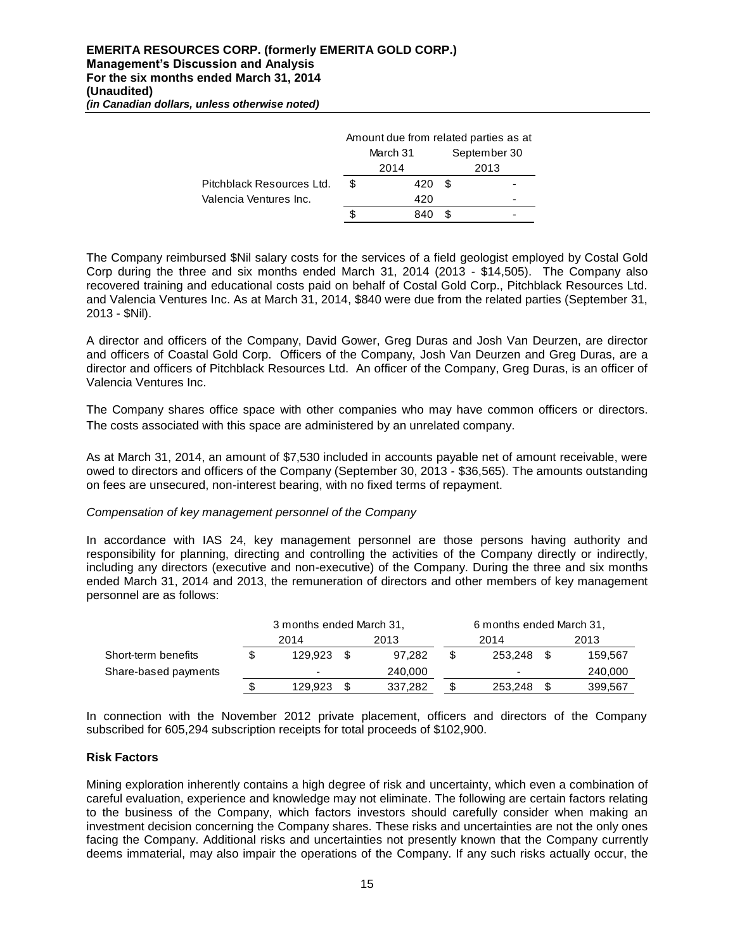|                           | Amount due from related parties as at |          |     |              |  |  |
|---------------------------|---------------------------------------|----------|-----|--------------|--|--|
|                           |                                       | March 31 |     | September 30 |  |  |
|                           |                                       | 2014     |     | 2013         |  |  |
| Pitchblack Resources Ltd. | \$                                    | 420      | \$. |              |  |  |
| Valencia Ventures Inc.    |                                       | 420      |     | -            |  |  |
|                           |                                       | 840      |     |              |  |  |

The Company reimbursed \$Nil salary costs for the services of a field geologist employed by Costal Gold Corp during the three and six months ended March 31, 2014 (2013 - \$14,505). The Company also recovered training and educational costs paid on behalf of Costal Gold Corp., Pitchblack Resources Ltd. and Valencia Ventures Inc. As at March 31, 2014, \$840 were due from the related parties (September 31, 2013 - \$Nil).

A director and officers of the Company, David Gower, Greg Duras and Josh Van Deurzen, are director and officers of Coastal Gold Corp. Officers of the Company, Josh Van Deurzen and Greg Duras, are a director and officers of Pitchblack Resources Ltd. An officer of the Company, Greg Duras, is an officer of Valencia Ventures Inc.

The Company shares office space with other companies who may have common officers or directors. The costs associated with this space are administered by an unrelated company.

As at March 31, 2014, an amount of \$7,530 included in accounts payable net of amount receivable, were owed to directors and officers of the Company (September 30, 2013 - \$36,565). The amounts outstanding on fees are unsecured, non-interest bearing, with no fixed terms of repayment.

## *Compensation of key management personnel of the Company*

In accordance with IAS 24, key management personnel are those persons having authority and responsibility for planning, directing and controlling the activities of the Company directly or indirectly, including any directors (executive and non-executive) of the Company. During the three and six months ended March 31, 2014 and 2013, the remuneration of directors and other members of key management personnel are as follows:

|                      | 3 months ended March 31, |      |         |  | 6 months ended March 31, |  |         |  |
|----------------------|--------------------------|------|---------|--|--------------------------|--|---------|--|
|                      | 2014                     |      | 2013    |  | 2014                     |  | 2013    |  |
| Short-term benefits  | 129.923                  | - \$ | 97.282  |  | 253.248                  |  | 159.567 |  |
| Share-based payments | $\blacksquare$           |      | 240,000 |  | $\blacksquare$           |  | 240,000 |  |
|                      | 129.923                  |      | 337.282 |  | 253,248                  |  | 399,567 |  |

In connection with the November 2012 private placement, officers and directors of the Company subscribed for 605,294 subscription receipts for total proceeds of \$102,900.

## **Risk Factors**

Mining exploration inherently contains a high degree of risk and uncertainty, which even a combination of careful evaluation, experience and knowledge may not eliminate. The following are certain factors relating to the business of the Company, which factors investors should carefully consider when making an investment decision concerning the Company shares. These risks and uncertainties are not the only ones facing the Company. Additional risks and uncertainties not presently known that the Company currently deems immaterial, may also impair the operations of the Company. If any such risks actually occur, the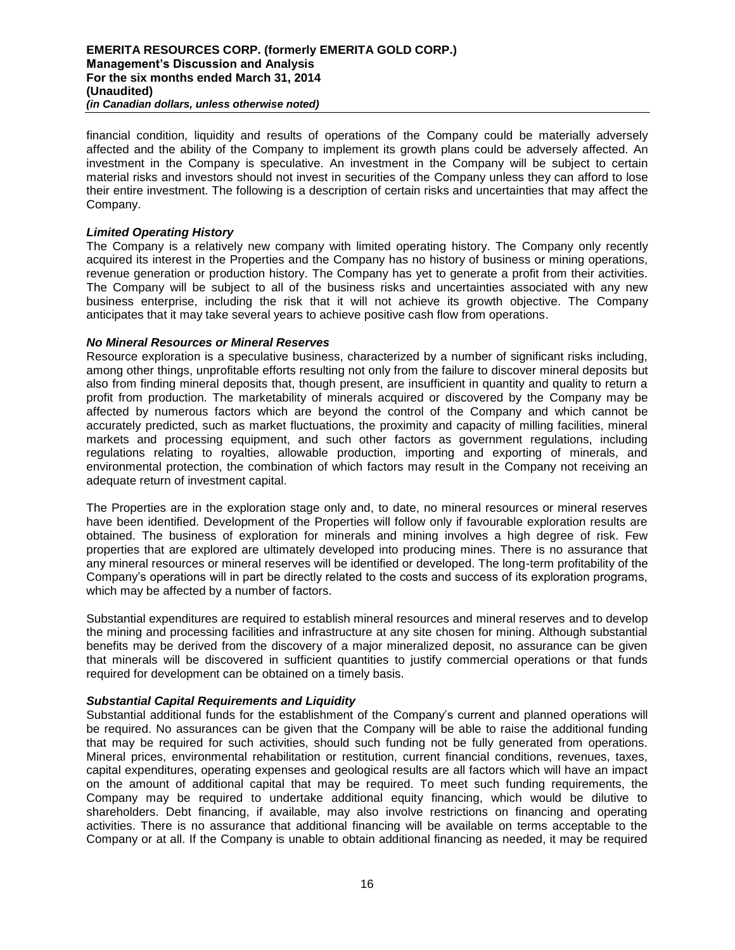financial condition, liquidity and results of operations of the Company could be materially adversely affected and the ability of the Company to implement its growth plans could be adversely affected. An investment in the Company is speculative. An investment in the Company will be subject to certain material risks and investors should not invest in securities of the Company unless they can afford to lose their entire investment. The following is a description of certain risks and uncertainties that may affect the Company.

## *Limited Operating History*

The Company is a relatively new company with limited operating history. The Company only recently acquired its interest in the Properties and the Company has no history of business or mining operations, revenue generation or production history. The Company has yet to generate a profit from their activities. The Company will be subject to all of the business risks and uncertainties associated with any new business enterprise, including the risk that it will not achieve its growth objective. The Company anticipates that it may take several years to achieve positive cash flow from operations.

## *No Mineral Resources or Mineral Reserves*

Resource exploration is a speculative business, characterized by a number of significant risks including, among other things, unprofitable efforts resulting not only from the failure to discover mineral deposits but also from finding mineral deposits that, though present, are insufficient in quantity and quality to return a profit from production. The marketability of minerals acquired or discovered by the Company may be affected by numerous factors which are beyond the control of the Company and which cannot be accurately predicted, such as market fluctuations, the proximity and capacity of milling facilities, mineral markets and processing equipment, and such other factors as government regulations, including regulations relating to royalties, allowable production, importing and exporting of minerals, and environmental protection, the combination of which factors may result in the Company not receiving an adequate return of investment capital.

The Properties are in the exploration stage only and, to date, no mineral resources or mineral reserves have been identified. Development of the Properties will follow only if favourable exploration results are obtained. The business of exploration for minerals and mining involves a high degree of risk. Few properties that are explored are ultimately developed into producing mines. There is no assurance that any mineral resources or mineral reserves will be identified or developed. The long-term profitability of the Company's operations will in part be directly related to the costs and success of its exploration programs, which may be affected by a number of factors.

Substantial expenditures are required to establish mineral resources and mineral reserves and to develop the mining and processing facilities and infrastructure at any site chosen for mining. Although substantial benefits may be derived from the discovery of a major mineralized deposit, no assurance can be given that minerals will be discovered in sufficient quantities to justify commercial operations or that funds required for development can be obtained on a timely basis.

#### *Substantial Capital Requirements and Liquidity*

Substantial additional funds for the establishment of the Company's current and planned operations will be required. No assurances can be given that the Company will be able to raise the additional funding that may be required for such activities, should such funding not be fully generated from operations. Mineral prices, environmental rehabilitation or restitution, current financial conditions, revenues, taxes, capital expenditures, operating expenses and geological results are all factors which will have an impact on the amount of additional capital that may be required. To meet such funding requirements, the Company may be required to undertake additional equity financing, which would be dilutive to shareholders. Debt financing, if available, may also involve restrictions on financing and operating activities. There is no assurance that additional financing will be available on terms acceptable to the Company or at all. If the Company is unable to obtain additional financing as needed, it may be required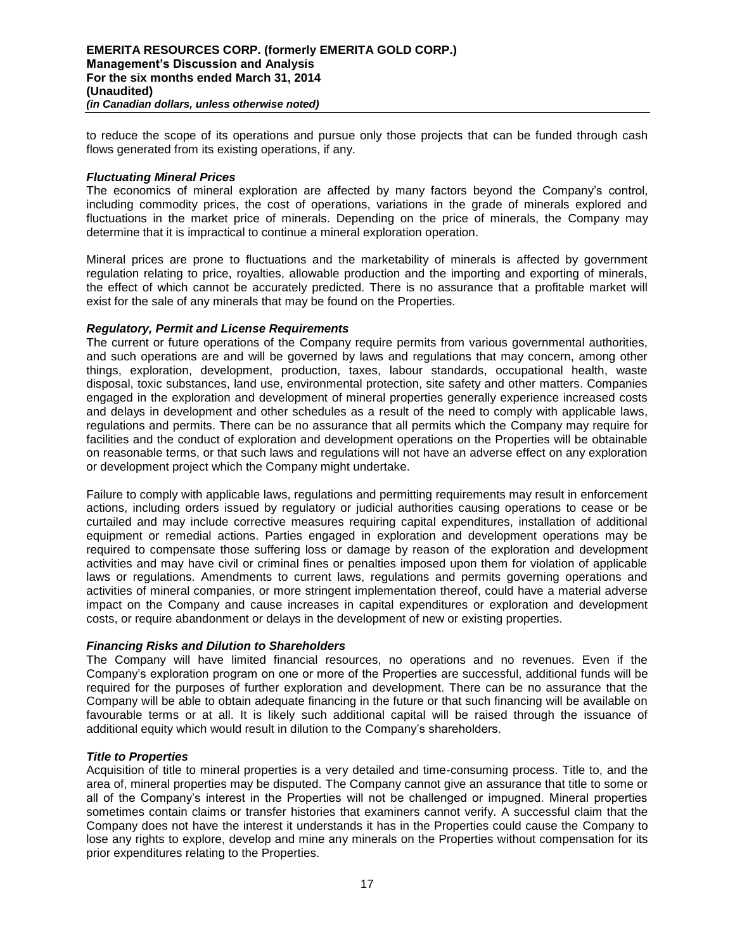to reduce the scope of its operations and pursue only those projects that can be funded through cash flows generated from its existing operations, if any.

### *Fluctuating Mineral Prices*

The economics of mineral exploration are affected by many factors beyond the Company's control, including commodity prices, the cost of operations, variations in the grade of minerals explored and fluctuations in the market price of minerals. Depending on the price of minerals, the Company may determine that it is impractical to continue a mineral exploration operation.

Mineral prices are prone to fluctuations and the marketability of minerals is affected by government regulation relating to price, royalties, allowable production and the importing and exporting of minerals, the effect of which cannot be accurately predicted. There is no assurance that a profitable market will exist for the sale of any minerals that may be found on the Properties.

### *Regulatory, Permit and License Requirements*

The current or future operations of the Company require permits from various governmental authorities, and such operations are and will be governed by laws and regulations that may concern, among other things, exploration, development, production, taxes, labour standards, occupational health, waste disposal, toxic substances, land use, environmental protection, site safety and other matters. Companies engaged in the exploration and development of mineral properties generally experience increased costs and delays in development and other schedules as a result of the need to comply with applicable laws, regulations and permits. There can be no assurance that all permits which the Company may require for facilities and the conduct of exploration and development operations on the Properties will be obtainable on reasonable terms, or that such laws and regulations will not have an adverse effect on any exploration or development project which the Company might undertake.

Failure to comply with applicable laws, regulations and permitting requirements may result in enforcement actions, including orders issued by regulatory or judicial authorities causing operations to cease or be curtailed and may include corrective measures requiring capital expenditures, installation of additional equipment or remedial actions. Parties engaged in exploration and development operations may be required to compensate those suffering loss or damage by reason of the exploration and development activities and may have civil or criminal fines or penalties imposed upon them for violation of applicable laws or regulations. Amendments to current laws, regulations and permits governing operations and activities of mineral companies, or more stringent implementation thereof, could have a material adverse impact on the Company and cause increases in capital expenditures or exploration and development costs, or require abandonment or delays in the development of new or existing properties.

## *Financing Risks and Dilution to Shareholders*

The Company will have limited financial resources, no operations and no revenues. Even if the Company's exploration program on one or more of the Properties are successful, additional funds will be required for the purposes of further exploration and development. There can be no assurance that the Company will be able to obtain adequate financing in the future or that such financing will be available on favourable terms or at all. It is likely such additional capital will be raised through the issuance of additional equity which would result in dilution to the Company's shareholders.

#### *Title to Properties*

Acquisition of title to mineral properties is a very detailed and time-consuming process. Title to, and the area of, mineral properties may be disputed. The Company cannot give an assurance that title to some or all of the Company's interest in the Properties will not be challenged or impugned. Mineral properties sometimes contain claims or transfer histories that examiners cannot verify. A successful claim that the Company does not have the interest it understands it has in the Properties could cause the Company to lose any rights to explore, develop and mine any minerals on the Properties without compensation for its prior expenditures relating to the Properties.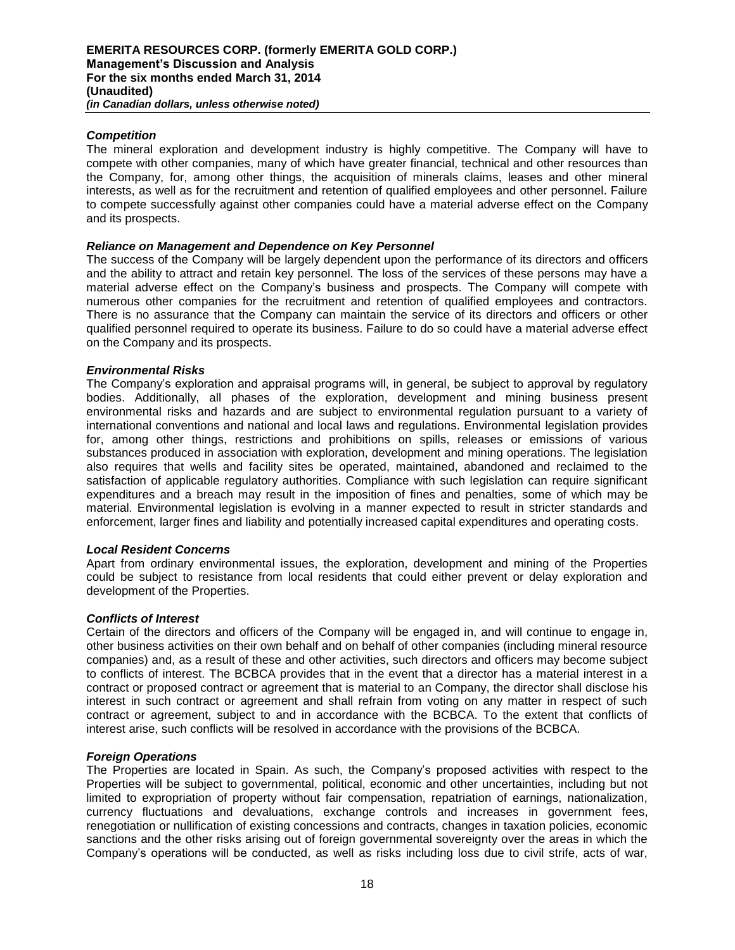## *Competition*

The mineral exploration and development industry is highly competitive. The Company will have to compete with other companies, many of which have greater financial, technical and other resources than the Company, for, among other things, the acquisition of minerals claims, leases and other mineral interests, as well as for the recruitment and retention of qualified employees and other personnel. Failure to compete successfully against other companies could have a material adverse effect on the Company and its prospects.

## *Reliance on Management and Dependence on Key Personnel*

The success of the Company will be largely dependent upon the performance of its directors and officers and the ability to attract and retain key personnel. The loss of the services of these persons may have a material adverse effect on the Company's business and prospects. The Company will compete with numerous other companies for the recruitment and retention of qualified employees and contractors. There is no assurance that the Company can maintain the service of its directors and officers or other qualified personnel required to operate its business. Failure to do so could have a material adverse effect on the Company and its prospects.

# *Environmental Risks*

The Company's exploration and appraisal programs will, in general, be subject to approval by regulatory bodies. Additionally, all phases of the exploration, development and mining business present environmental risks and hazards and are subject to environmental regulation pursuant to a variety of international conventions and national and local laws and regulations. Environmental legislation provides for, among other things, restrictions and prohibitions on spills, releases or emissions of various substances produced in association with exploration, development and mining operations. The legislation also requires that wells and facility sites be operated, maintained, abandoned and reclaimed to the satisfaction of applicable regulatory authorities. Compliance with such legislation can require significant expenditures and a breach may result in the imposition of fines and penalties, some of which may be material. Environmental legislation is evolving in a manner expected to result in stricter standards and enforcement, larger fines and liability and potentially increased capital expenditures and operating costs.

## *Local Resident Concerns*

Apart from ordinary environmental issues, the exploration, development and mining of the Properties could be subject to resistance from local residents that could either prevent or delay exploration and development of the Properties.

## *Conflicts of Interest*

Certain of the directors and officers of the Company will be engaged in, and will continue to engage in, other business activities on their own behalf and on behalf of other companies (including mineral resource companies) and, as a result of these and other activities, such directors and officers may become subject to conflicts of interest. The BCBCA provides that in the event that a director has a material interest in a contract or proposed contract or agreement that is material to an Company, the director shall disclose his interest in such contract or agreement and shall refrain from voting on any matter in respect of such contract or agreement, subject to and in accordance with the BCBCA. To the extent that conflicts of interest arise, such conflicts will be resolved in accordance with the provisions of the BCBCA.

## *Foreign Operations*

The Properties are located in Spain. As such, the Company's proposed activities with respect to the Properties will be subject to governmental, political, economic and other uncertainties, including but not limited to expropriation of property without fair compensation, repatriation of earnings, nationalization, currency fluctuations and devaluations, exchange controls and increases in government fees, renegotiation or nullification of existing concessions and contracts, changes in taxation policies, economic sanctions and the other risks arising out of foreign governmental sovereignty over the areas in which the Company's operations will be conducted, as well as risks including loss due to civil strife, acts of war,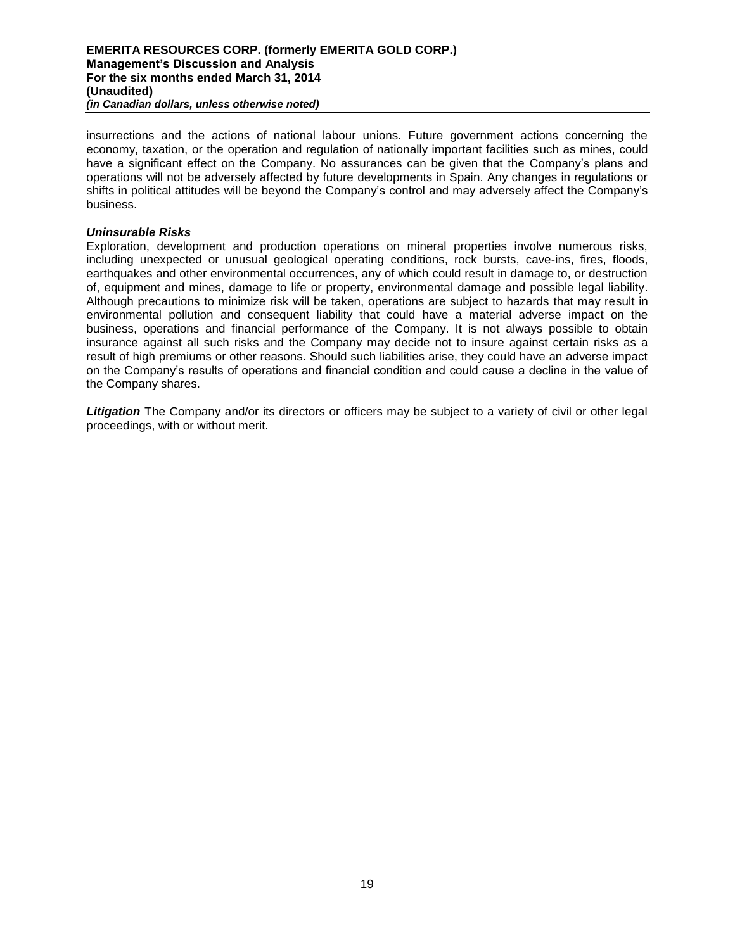insurrections and the actions of national labour unions. Future government actions concerning the economy, taxation, or the operation and regulation of nationally important facilities such as mines, could have a significant effect on the Company. No assurances can be given that the Company's plans and operations will not be adversely affected by future developments in Spain. Any changes in regulations or shifts in political attitudes will be beyond the Company's control and may adversely affect the Company's business.

### *Uninsurable Risks*

Exploration, development and production operations on mineral properties involve numerous risks, including unexpected or unusual geological operating conditions, rock bursts, cave-ins, fires, floods, earthquakes and other environmental occurrences, any of which could result in damage to, or destruction of, equipment and mines, damage to life or property, environmental damage and possible legal liability. Although precautions to minimize risk will be taken, operations are subject to hazards that may result in environmental pollution and consequent liability that could have a material adverse impact on the business, operations and financial performance of the Company. It is not always possible to obtain insurance against all such risks and the Company may decide not to insure against certain risks as a result of high premiums or other reasons. Should such liabilities arise, they could have an adverse impact on the Company's results of operations and financial condition and could cause a decline in the value of the Company shares.

**Litigation** The Company and/or its directors or officers may be subject to a variety of civil or other legal proceedings, with or without merit.